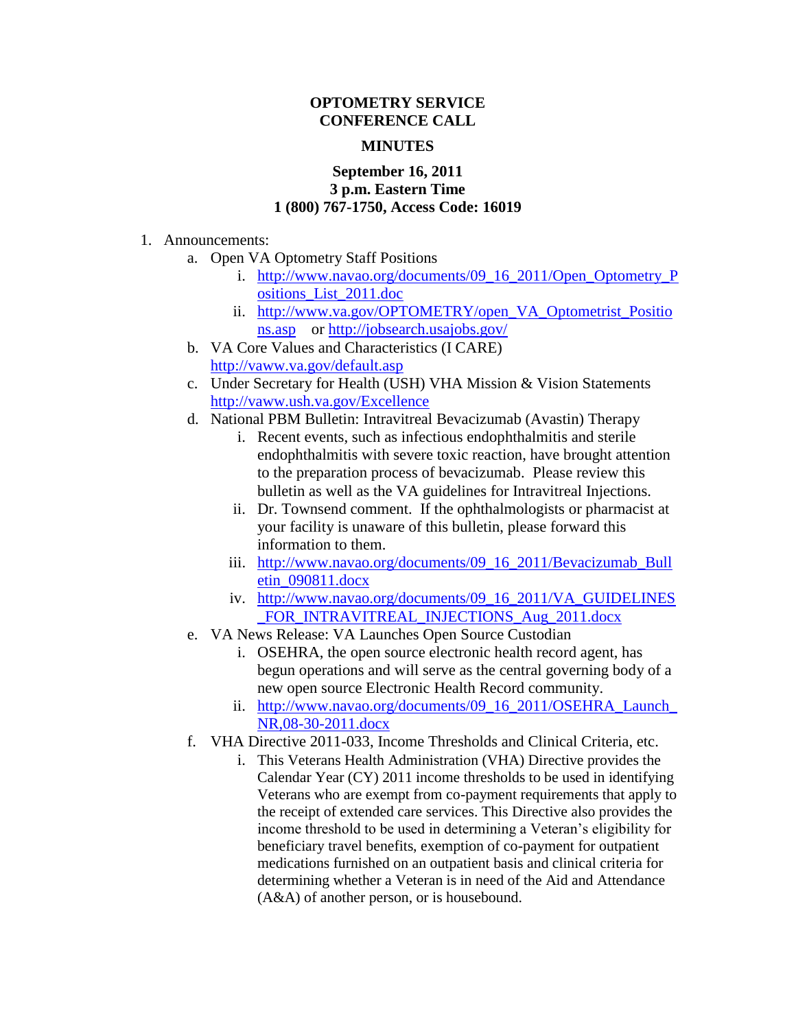## **OPTOMETRY SERVICE CONFERENCE CALL**

## **MINUTES**

## **September 16, 2011 3 p.m. Eastern Time 1 (800) 767-1750, Access Code: 16019**

## 1. Announcements:

- a. Open VA Optometry Staff Positions
	- i. [http://www.navao.org/documents/09\\_16\\_2011/Open\\_Optometry\\_P](http://www.navao.org/documents/09_16_2011/Open_Optometry_Positions_List_2011.doc) [ositions\\_List\\_2011.doc](http://www.navao.org/documents/09_16_2011/Open_Optometry_Positions_List_2011.doc)
	- ii. [http://www.va.gov/OPTOMETRY/open\\_VA\\_Optometrist\\_Positio](http://www.va.gov/OPTOMETRY/open_VA_Optometrist_Positions.asp) [ns.asp](http://www.va.gov/OPTOMETRY/open_VA_Optometrist_Positions.asp) or<http://jobsearch.usajobs.gov/>
- b. VA Core Values and Characteristics (I CARE) <http://vaww.va.gov/default.asp>
- c. Under Secretary for Health (USH) VHA Mission & Vision Statements <http://vaww.ush.va.gov/Excellence>
- d. National PBM Bulletin: Intravitreal Bevacizumab (Avastin) Therapy
	- i. Recent events, such as infectious endophthalmitis and sterile endophthalmitis with severe toxic reaction, have brought attention to the preparation process of bevacizumab. Please review this bulletin as well as the VA guidelines for Intravitreal Injections.
	- ii. Dr. Townsend comment. If the ophthalmologists or pharmacist at your facility is unaware of this bulletin, please forward this information to them.
	- iii. [http://www.navao.org/documents/09\\_16\\_2011/Bevacizumab\\_Bull](http://www.navao.org/documents/09_16_2011/Bevacizumab_Bulletin_090811.docx) [etin\\_090811.docx](http://www.navao.org/documents/09_16_2011/Bevacizumab_Bulletin_090811.docx)
	- iv. [http://www.navao.org/documents/09\\_16\\_2011/VA\\_GUIDELINES](http://www.navao.org/documents/09_16_2011/VA_GUIDELINES_FOR_INTRAVITREAL_INJECTIONS_Aug_2011.docx) FOR INTRAVITREAL INJECTIONS Aug 2011.docx
- e. VA News Release: VA Launches Open Source Custodian
	- i. OSEHRA, the open source electronic health record agent, has begun operations and will serve as the central governing body of a new open source Electronic Health Record community.
	- ii. http://www.navao.org/documents/09\_16\_2011/OSEHRA\_Launch [NR,08-30-2011.docx](http://www.navao.org/documents/09_16_2011/OSEHRA_Launch_NR,08-30-2011.docx)
- f. VHA Directive 2011-033, Income Thresholds and Clinical Criteria, etc.
	- i. This Veterans Health Administration (VHA) Directive provides the Calendar Year (CY) 2011 income thresholds to be used in identifying Veterans who are exempt from co-payment requirements that apply to the receipt of extended care services. This Directive also provides the income threshold to be used in determining a Veteran's eligibility for beneficiary travel benefits, exemption of co-payment for outpatient medications furnished on an outpatient basis and clinical criteria for determining whether a Veteran is in need of the Aid and Attendance (A&A) of another person, or is housebound.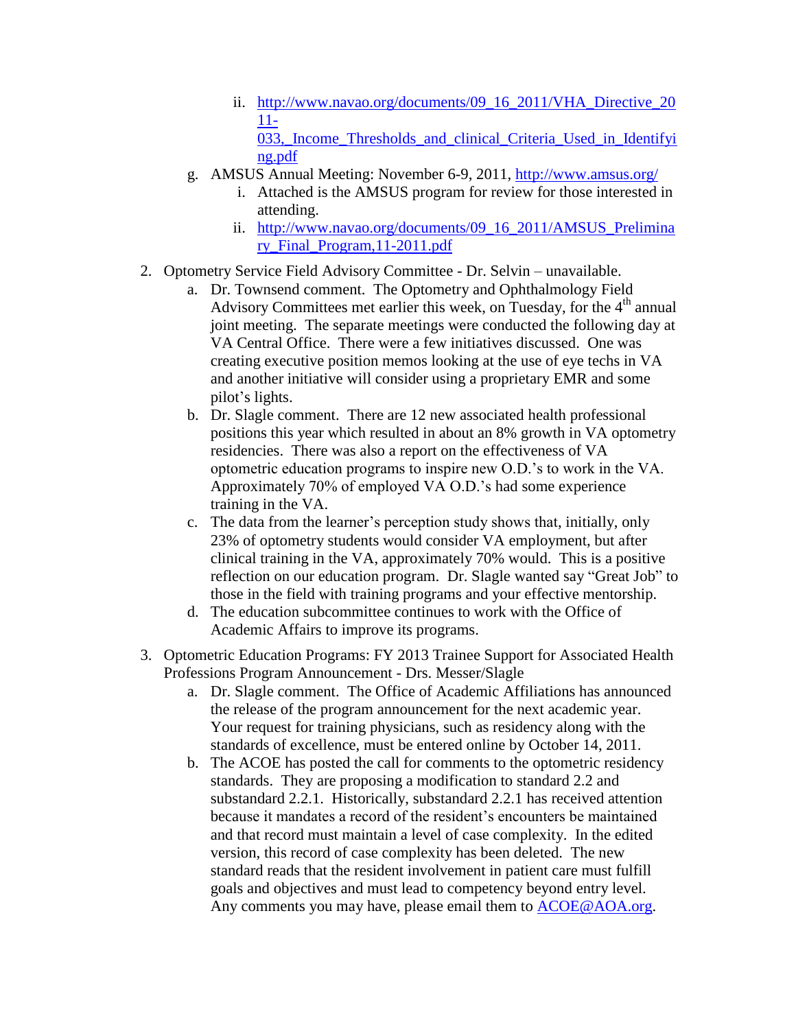- ii. [http://www.navao.org/documents/09\\_16\\_2011/VHA\\_Directive\\_20](http://www.navao.org/documents/09_16_2011/VHA_Directive_2011-033,_Income_Thresholds_and_clinical_Criteria_Used_in_Identifying.pdf) [11-](http://www.navao.org/documents/09_16_2011/VHA_Directive_2011-033,_Income_Thresholds_and_clinical_Criteria_Used_in_Identifying.pdf) 033, Income Thresholds and clinical Criteria Used in Identifyi [ng.pdf](http://www.navao.org/documents/09_16_2011/VHA_Directive_2011-033,_Income_Thresholds_and_clinical_Criteria_Used_in_Identifying.pdf)
- g. AMSUS Annual Meeting: November 6-9, 2011,<http://www.amsus.org/>
	- i. Attached is the AMSUS program for review for those interested in attending.
	- ii. [http://www.navao.org/documents/09\\_16\\_2011/AMSUS\\_Prelimina](http://www.navao.org/documents/09_16_2011/AMSUS_Preliminary_Final_Program,11-2011.pdf) [ry\\_Final\\_Program,11-2011.pdf](http://www.navao.org/documents/09_16_2011/AMSUS_Preliminary_Final_Program,11-2011.pdf)
- 2. Optometry Service Field Advisory Committee Dr. Selvin unavailable.
	- a. Dr. Townsend comment. The Optometry and Ophthalmology Field Advisory Committees met earlier this week, on Tuesday, for the  $4<sup>th</sup>$  annual joint meeting. The separate meetings were conducted the following day at VA Central Office. There were a few initiatives discussed. One was creating executive position memos looking at the use of eye techs in VA and another initiative will consider using a proprietary EMR and some pilot's lights.
	- b. Dr. Slagle comment. There are 12 new associated health professional positions this year which resulted in about an 8% growth in VA optometry residencies. There was also a report on the effectiveness of VA optometric education programs to inspire new O.D.'s to work in the VA. Approximately 70% of employed VA O.D.'s had some experience training in the VA.
	- c. The data from the learner's perception study shows that, initially, only 23% of optometry students would consider VA employment, but after clinical training in the VA, approximately 70% would. This is a positive reflection on our education program. Dr. Slagle wanted say "Great Job" to those in the field with training programs and your effective mentorship.
	- d. The education subcommittee continues to work with the Office of Academic Affairs to improve its programs.
- 3. Optometric Education Programs: FY 2013 Trainee Support for Associated Health Professions Program Announcement - Drs. Messer/Slagle
	- a. Dr. Slagle comment. The Office of Academic Affiliations has announced the release of the program announcement for the next academic year. Your request for training physicians, such as residency along with the standards of excellence, must be entered online by October 14, 2011.
	- b. The ACOE has posted the call for comments to the optometric residency standards. They are proposing a modification to standard 2.2 and substandard 2.2.1. Historically, substandard 2.2.1 has received attention because it mandates a record of the resident's encounters be maintained and that record must maintain a level of case complexity. In the edited version, this record of case complexity has been deleted. The new standard reads that the resident involvement in patient care must fulfill goals and objectives and must lead to competency beyond entry level. Any comments you may have, please email them to [ACOE@AOA.org.](mailto:ACOE@AOA.org)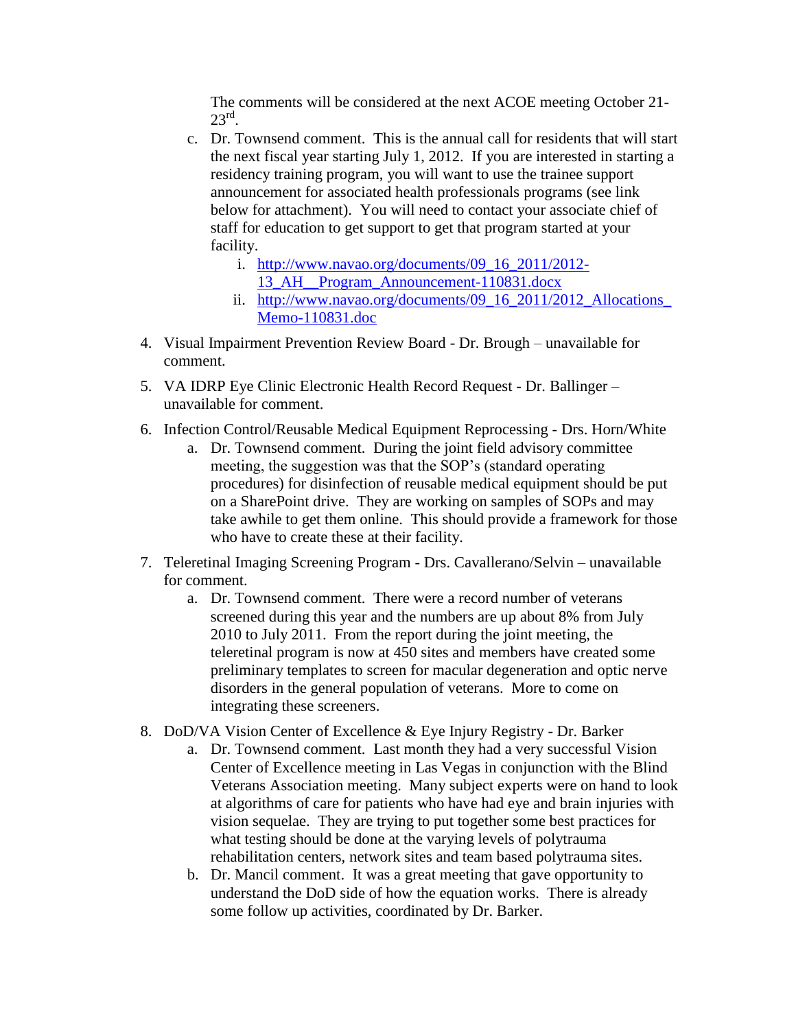The comments will be considered at the next ACOE meeting October 21-  $23^{\text{rd}}$ .

- c. Dr. Townsend comment. This is the annual call for residents that will start the next fiscal year starting July 1, 2012. If you are interested in starting a residency training program, you will want to use the trainee support announcement for associated health professionals programs (see link below for attachment). You will need to contact your associate chief of staff for education to get support to get that program started at your facility.
	- i. [http://www.navao.org/documents/09\\_16\\_2011/2012-](http://www.navao.org/documents/09_16_2011/2012-13_AH__Program_Announcement-110831.docx) [13\\_AH\\_\\_Program\\_Announcement-110831.docx](http://www.navao.org/documents/09_16_2011/2012-13_AH__Program_Announcement-110831.docx)
	- ii. http://www.navao.org/documents/09\_16\_2011/2012\_Allocations [Memo-110831.doc](http://www.navao.org/documents/09_16_2011/2012_Allocations_Memo-110831.doc)
- 4. Visual Impairment Prevention Review Board Dr. Brough unavailable for comment.
- 5. VA IDRP Eye Clinic Electronic Health Record Request Dr. Ballinger unavailable for comment.
- 6. Infection Control/Reusable Medical Equipment Reprocessing Drs. Horn/White
	- a. Dr. Townsend comment. During the joint field advisory committee meeting, the suggestion was that the SOP's (standard operating procedures) for disinfection of reusable medical equipment should be put on a SharePoint drive. They are working on samples of SOPs and may take awhile to get them online. This should provide a framework for those who have to create these at their facility.
- 7. Teleretinal Imaging Screening Program Drs. Cavallerano/Selvin unavailable for comment.
	- a. Dr. Townsend comment. There were a record number of veterans screened during this year and the numbers are up about 8% from July 2010 to July 2011. From the report during the joint meeting, the teleretinal program is now at 450 sites and members have created some preliminary templates to screen for macular degeneration and optic nerve disorders in the general population of veterans. More to come on integrating these screeners.
- 8. DoD/VA Vision Center of Excellence & Eye Injury Registry Dr. Barker
	- a. Dr. Townsend comment. Last month they had a very successful Vision Center of Excellence meeting in Las Vegas in conjunction with the Blind Veterans Association meeting. Many subject experts were on hand to look at algorithms of care for patients who have had eye and brain injuries with vision sequelae. They are trying to put together some best practices for what testing should be done at the varying levels of polytrauma rehabilitation centers, network sites and team based polytrauma sites.
	- b. Dr. Mancil comment. It was a great meeting that gave opportunity to understand the DoD side of how the equation works. There is already some follow up activities, coordinated by Dr. Barker.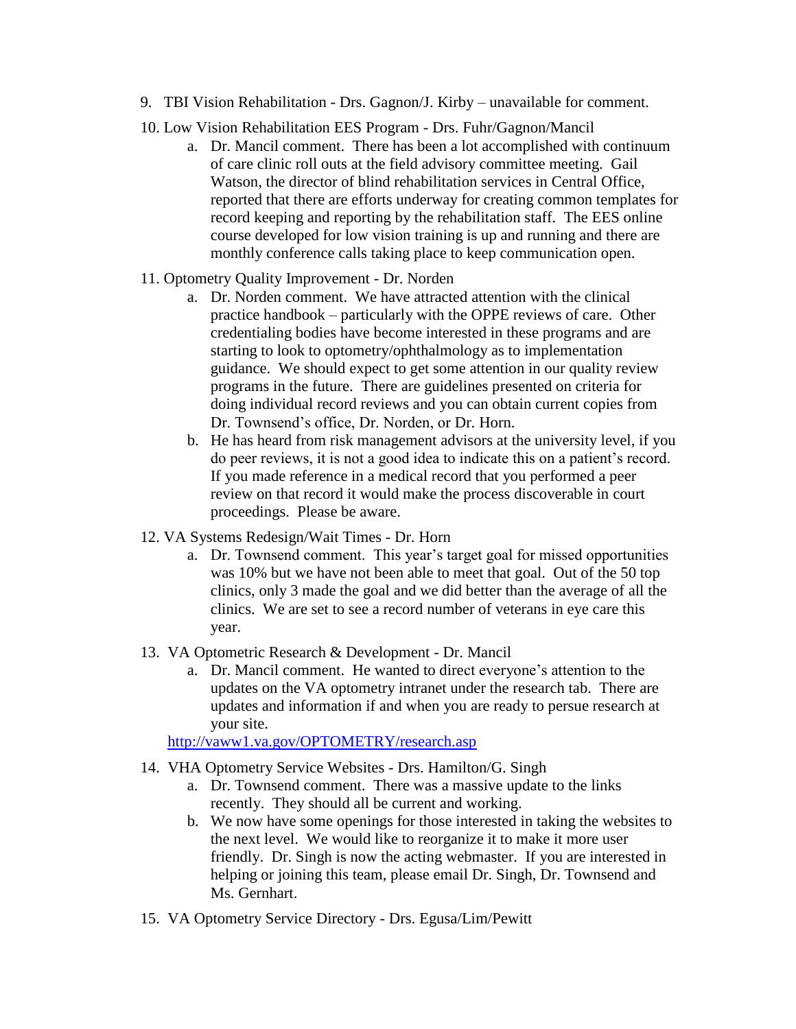- 9. TBI Vision Rehabilitation Drs. Gagnon/J. Kirby unavailable for comment.
- 10. Low Vision Rehabilitation EES Program Drs. Fuhr/Gagnon/Mancil
	- a. Dr. Mancil comment. There has been a lot accomplished with continuum of care clinic roll outs at the field advisory committee meeting. Gail Watson, the director of blind rehabilitation services in Central Office, reported that there are efforts underway for creating common templates for record keeping and reporting by the rehabilitation staff. The EES online course developed for low vision training is up and running and there are monthly conference calls taking place to keep communication open.
- 11. Optometry Quality Improvement Dr. Norden
	- a. Dr. Norden comment. We have attracted attention with the clinical practice handbook – particularly with the OPPE reviews of care. Other credentialing bodies have become interested in these programs and are starting to look to optometry/ophthalmology as to implementation guidance. We should expect to get some attention in our quality review programs in the future. There are guidelines presented on criteria for doing individual record reviews and you can obtain current copies from Dr. Townsend's office, Dr. Norden, or Dr. Horn.
	- b. He has heard from risk management advisors at the university level, if you do peer reviews, it is not a good idea to indicate this on a patient's record. If you made reference in a medical record that you performed a peer review on that record it would make the process discoverable in court proceedings. Please be aware.
- 12. VA Systems Redesign/Wait Times Dr. Horn
	- a. Dr. Townsend comment. This year's target goal for missed opportunities was 10% but we have not been able to meet that goal. Out of the 50 top clinics, only 3 made the goal and we did better than the average of all the clinics. We are set to see a record number of veterans in eye care this year.
- 13. VA Optometric Research & Development Dr. Mancil
	- a. Dr. Mancil comment. He wanted to direct everyone's attention to the updates on the VA optometry intranet under the research tab. There are updates and information if and when you are ready to persue research at your site.

<http://vaww1.va.gov/OPTOMETRY/research.asp>

- 14. VHA Optometry Service Websites Drs. Hamilton/G. Singh
	- a. Dr. Townsend comment. There was a massive update to the links recently. They should all be current and working.
		- b. We now have some openings for those interested in taking the websites to the next level. We would like to reorganize it to make it more user friendly. Dr. Singh is now the acting webmaster. If you are interested in helping or joining this team, please email Dr. Singh, Dr. Townsend and Ms. Gernhart.
- 15. VA Optometry Service Directory Drs. Egusa/Lim/Pewitt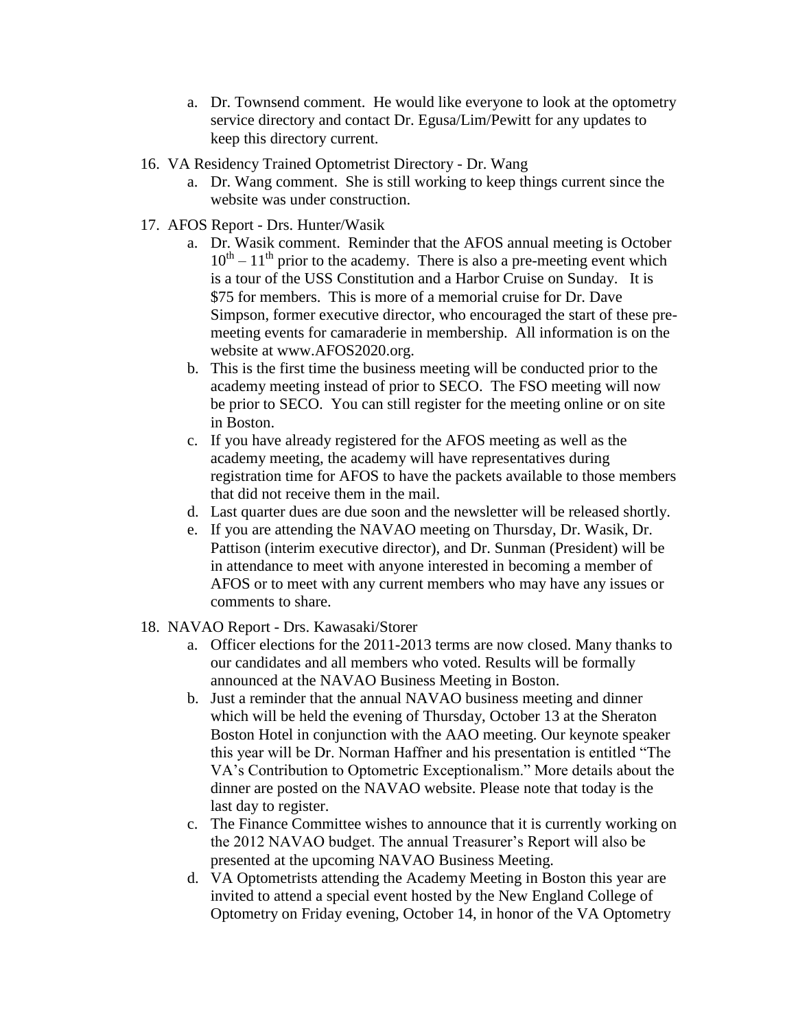- a. Dr. Townsend comment. He would like everyone to look at the optometry service directory and contact Dr. Egusa/Lim/Pewitt for any updates to keep this directory current.
- 16. VA Residency Trained Optometrist Directory Dr. Wang
	- a. Dr. Wang comment. She is still working to keep things current since the website was under construction.
- 17. AFOS Report Drs. Hunter/Wasik
	- a. Dr. Wasik comment. Reminder that the AFOS annual meeting is October  $10^{th} - 11^{th}$  prior to the academy. There is also a pre-meeting event which is a tour of the USS Constitution and a Harbor Cruise on Sunday. It is \$75 for members. This is more of a memorial cruise for Dr. Dave Simpson, former executive director, who encouraged the start of these premeeting events for camaraderie in membership. All information is on the website at www.AFOS2020.org.
	- b. This is the first time the business meeting will be conducted prior to the academy meeting instead of prior to SECO. The FSO meeting will now be prior to SECO. You can still register for the meeting online or on site in Boston.
	- c. If you have already registered for the AFOS meeting as well as the academy meeting, the academy will have representatives during registration time for AFOS to have the packets available to those members that did not receive them in the mail.
	- d. Last quarter dues are due soon and the newsletter will be released shortly.
	- e. If you are attending the NAVAO meeting on Thursday, Dr. Wasik, Dr. Pattison (interim executive director), and Dr. Sunman (President) will be in attendance to meet with anyone interested in becoming a member of AFOS or to meet with any current members who may have any issues or comments to share.
- 18. NAVAO Report Drs. Kawasaki/Storer
	- a. Officer elections for the 2011-2013 terms are now closed. Many thanks to our candidates and all members who voted. Results will be formally announced at the NAVAO Business Meeting in Boston.
	- b. Just a reminder that the annual NAVAO business meeting and dinner which will be held the evening of Thursday, October 13 at the Sheraton Boston Hotel in conjunction with the AAO meeting. Our keynote speaker this year will be Dr. Norman Haffner and his presentation is entitled "The VA's Contribution to Optometric Exceptionalism." More details about the dinner are posted on the NAVAO website. Please note that today is the last day to register.
	- c. The Finance Committee wishes to announce that it is currently working on the 2012 NAVAO budget. The annual Treasurer's Report will also be presented at the upcoming NAVAO Business Meeting.
	- d. VA Optometrists attending the Academy Meeting in Boston this year are invited to attend a special event hosted by the New England College of Optometry on Friday evening, October 14, in honor of the VA Optometry